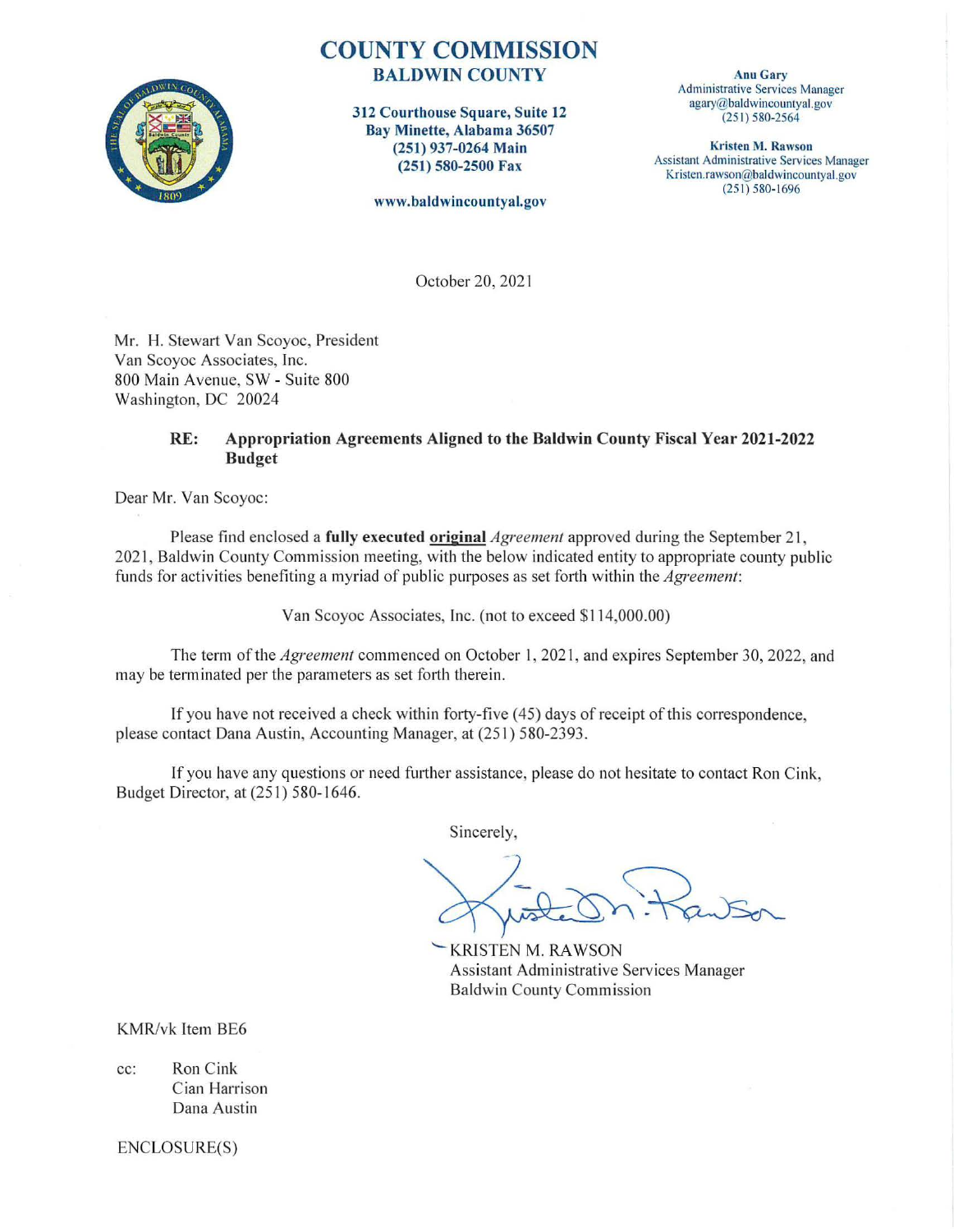

## **COUNTY COMMISSION**  BALDWIN COUNTY

312 Courthouse Square, Suite 12 Bay Minette, Alabama 36507 (251) 937-0264 Main (251) 580-2500 Fax

www.baldwincountyal.gov

Anu Gary Administrative Services Manager agary@baldwincountyal.gov (251) 580-2564

Kristen M. Rawson Assistant Administrative Services Manager Kristen.rawson@baldwincountyal.gov  $(251) 580 - 1696$ 

October 20, 202 l

Mr. H. Stewart Van Scoyoc, President Van Scoyoc Associates, Inc. 800 Main Avenue, SW - Suite 800 Washington, DC 20024

## RE: Appropriation Agreements Aligned to the Baldwin County Fiscal Year 2021-2022 Budget

Dear Mr. Van Scoyoc:

Please find enclosed a **fully executed original** *Agreement* approved during the September 21, 2021, Baldwin County Commission meeting, with the below indicated entity to appropriate county public funds for activities benefiting a myriad of public purposes as set forth within the *Agreement*:

Yan Scoyoc Associates, Inc. (not to exceed \$114,000.00)

The term of the *Agreement* commenced on October l, 202 l, and expires September 30, 2022, and may be terminated per the parameters as set forth therein.

If you have not received a check within forty-five  $(45)$  days of receipt of this correspondence, please contact Dana Austin, Accounting Manager, at (251) 580-2393.

If you have any questions or need further assistance, please do not hesitate to contact Ron Cink, Budget Director, at (25 l) 580-1646.

Sincerely,

KRISTEN M. RAWSON Assistant Administrative Services Manager Baldwin County Commission

KMR/vk Item BE6

cc: Ron Cink Cian Harrison Dana Austin

ENCLOSURE(S)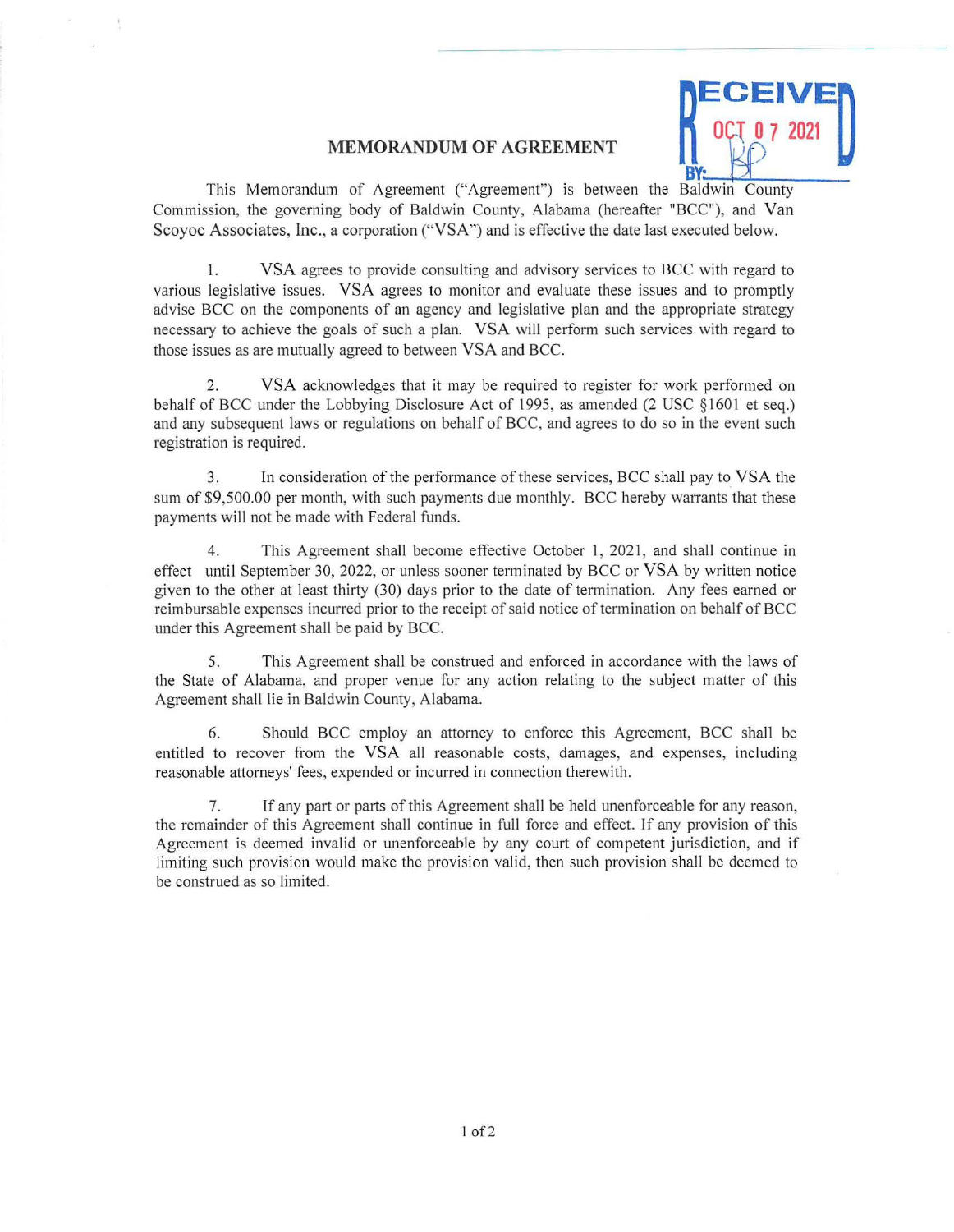## ECEIVE~ **B**

## **MEMORANDUM OF AGREEMENT**

This Memorandum of Agreement ("Agreement") is between the Baldwin County Commission, the governing body of Baldwin County, Alabama (hereafter "BCC"), and Van Scoyoc Associates, lnc., a corporation ("VSA") and is effective the date last executed below.

I. VSA agrees to provide consulting and advisory services to BCC with regard to various legislative issues. VSA agrees to monitor and evaluate these issues and to promptly advise BCC on the components of an agency and legislative plan and the appropriate strategy necessary to achieve the goals of such a plan. VSA will perfonn such services with regard to those issues as are mutually agreed to between VSA and BCC.

2. VSA acknowledges that it may be required to register for work performed on behalf of BCC under the Lobbying Disclosure Act of 1995, as amended (2 USC §1601 et seq.) and any subsequent laws or regulations on behalf of BCC, and agrees to do so in the event such registration is required.

3. In consideration of the performance of these services, BCC shall pay to VSA the sum of \$9,500.00 per month, with such payments due monthly. BCC hereby warrants that these payments will not be made with Federal funds.

4. This Agreement shall become effective October 1, 2021, and shall continue in effect until September 30, 2022, or unless sooner terminated by BCC or VSA by written notice given to the other at least thirty (30) days prior to the date of termination. Any fees earned or reimbursable expenses incurred prior to the receipt of said notice of termination on behalf of BCC under this Agreement shall be paid by BCC.

5. This Agreement shall be construed and enforced in accordance with the laws of the State of Alabama, and proper venue for any action relating to the subject matter of this Agreement shall lie in Baldwin County, Alabama.

6. Should BCC employ an attorney to enforce this Agreement, BCC shall be entitled to recover from the VSA all reasonable costs, damages, and expenses, including reasonable attorneys' fees, expended or incurred in connection therewith.

7. If any part or parts of this Agreement shall be held unenforceable for any reason, the remainder of this Agreement shall continue in full force and effect. If any provision of this Agreement is deemed invalid or unenforceable by any court of competent jurisdiction, and if limiting such provision would make the provision valid, then such provision shall be deemed to be construed as so limited.